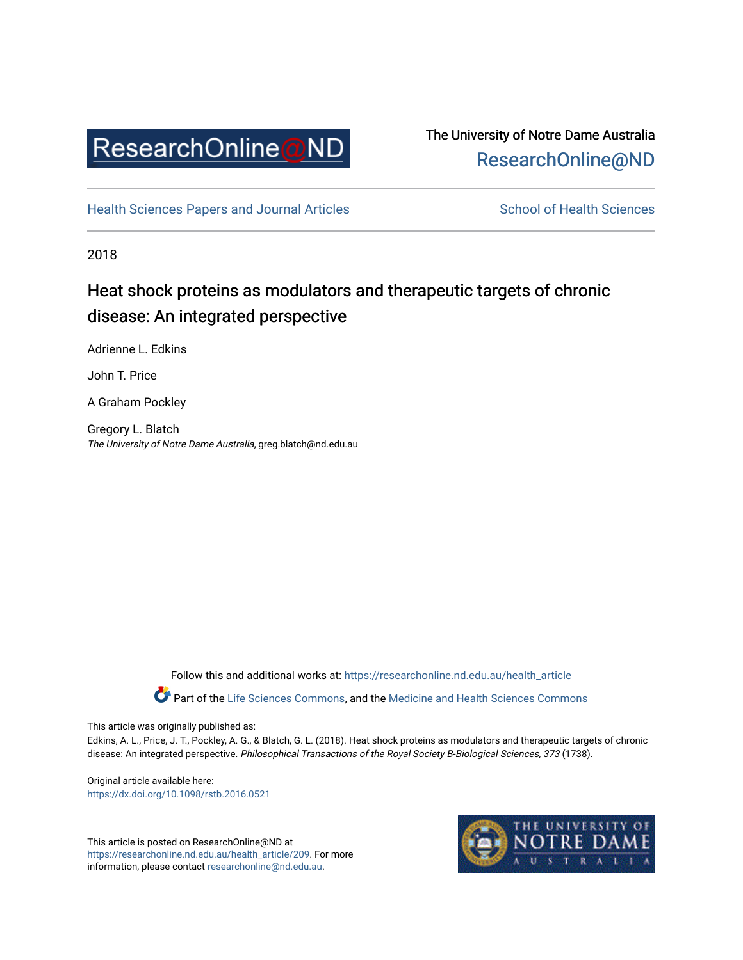

## The University of Notre Dame Australia [ResearchOnline@ND](https://researchonline.nd.edu.au/)

[Health Sciences Papers and Journal Articles](https://researchonline.nd.edu.au/health_article) School of Health Sciences

2018

# Heat shock proteins as modulators and therapeutic targets of chronic disease: An integrated perspective

Adrienne L. Edkins

John T. Price

A Graham Pockley

Gregory L. Blatch The University of Notre Dame Australia, greg.blatch@nd.edu.au

Follow this and additional works at: [https://researchonline.nd.edu.au/health\\_article](https://researchonline.nd.edu.au/health_article?utm_source=researchonline.nd.edu.au%2Fhealth_article%2F209&utm_medium=PDF&utm_campaign=PDFCoverPages)

Part of the [Life Sciences Commons](http://network.bepress.com/hgg/discipline/1016?utm_source=researchonline.nd.edu.au%2Fhealth_article%2F209&utm_medium=PDF&utm_campaign=PDFCoverPages), and the Medicine and Health Sciences Commons

This article was originally published as:

Edkins, A. L., Price, J. T., Pockley, A. G., & Blatch, G. L. (2018). Heat shock proteins as modulators and therapeutic targets of chronic disease: An integrated perspective. Philosophical Transactions of the Royal Society B-Biological Sciences, 373 (1738).

Original article available here: <https://dx.doi.org/10.1098/rstb.2016.0521>

This article is posted on ResearchOnline@ND at [https://researchonline.nd.edu.au/health\\_article/209](https://researchonline.nd.edu.au/health_article/209). For more information, please contact [researchonline@nd.edu.au.](mailto:researchonline@nd.edu.au)

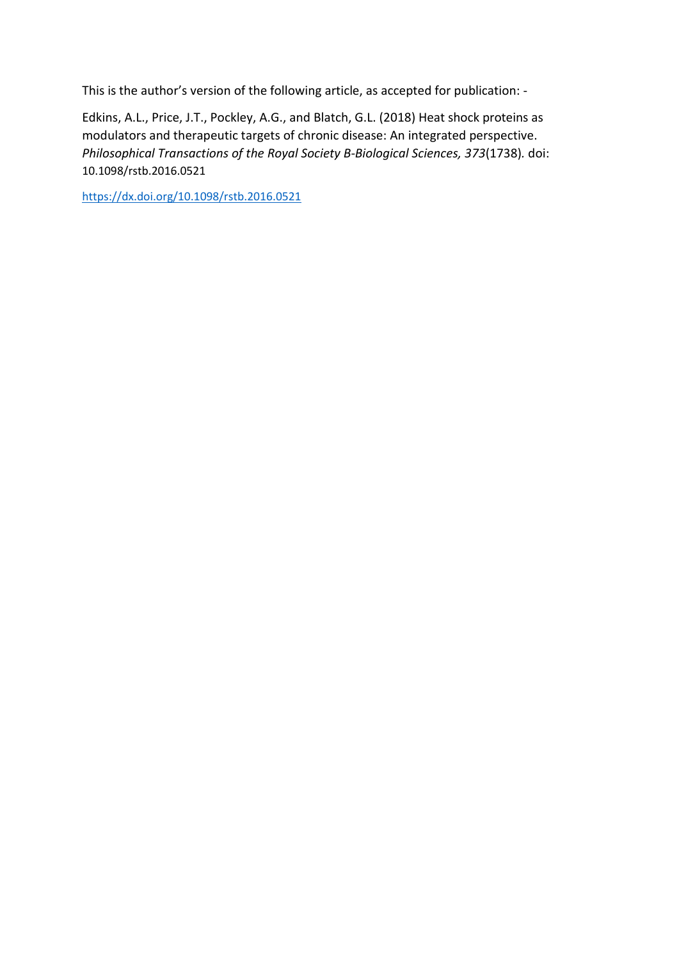This is the author's version of the following article, as accepted for publication: -

Edkins, A.L., Price, J.T., Pockley, A.G., and Blatch, G.L. (2018) Heat shock proteins as modulators and therapeutic targets of chronic disease: An integrated perspective. *Philosophical Transactions of the Royal Society B-Biological Sciences, 373*(1738)*.* doi: 10.1098/rstb.2016.0521

<https://dx.doi.org/10.1098/rstb.2016.0521>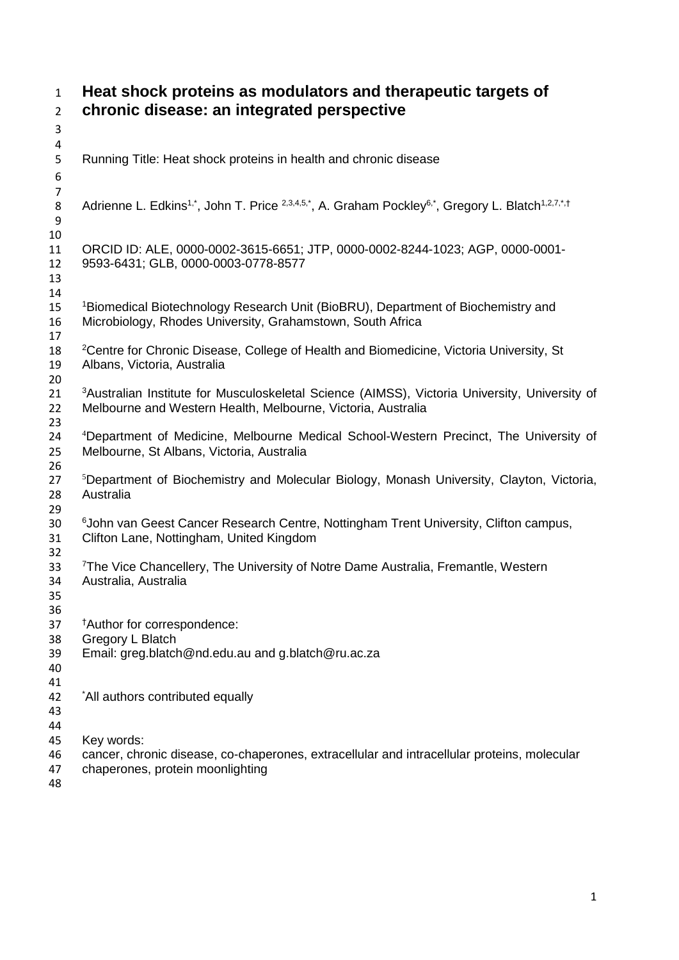**Heat shock proteins as modulators and therapeutic targets of chronic disease: an integrated perspective**  Running Title: Heat shock proteins in health and chronic disease Adrienne L. Edkins<sup>1,\*</sup>, John T. Price <sup>2,3,4,5,\*</sup>, A. Graham Pockley<sup>6,\*</sup>, Gregory L. Blatch<sup>1,2,7,\*,†</sup> ORCID ID: ALE, 0000-0002-3615-6651; JTP, 0000-0002-8244-1023; AGP, 0000-0001- 9593-6431; GLB, 0000-0003-0778-8577 <br> $15$ <sup>1</sup> Biomedical Biotechnology Research Unit (BioBRU), Department of Biochemistry and Microbiology, Rhodes University, Grahamstown, South Africa 18 <sup>2</sup>Centre for Chronic Disease, College of Health and Biomedicine, Victoria University, St Albans, Victoria, Australia <sup>3</sup> Australian Institute for Musculoskeletal Science (AIMSS), Victoria University, University of 22 Melbourne and Western Health. Melbourne. Victoria. Australia Melbourne and Western Health, Melbourne, Victoria, Australia 24 <sup>4</sup>Department of Medicine, Melbourne Medical School-Western Precinct, The University of Melbourne, St Albans, Victoria, Australia <sup>5</sup>Department of Biochemistry and Molecular Biology, Monash University, Clayton, Victoria, Australia <sup>6</sup> John van Geest Cancer Research Centre, Nottingham Trent University, Clifton campus, Clifton Lane, Nottingham, United Kingdom 33 <sup>7</sup> The Vice Chancellery, The University of Notre Dame Australia, Fremantle, Western Australia, Australia *†Author for correspondence:*  Gregory L Blatch Email: greg.blatch@nd.edu.au and g.blatch@ru.ac.za 42 \*All authors contributed equally Key words: cancer, chronic disease, co-chaperones, extracellular and intracellular proteins, molecular chaperones, protein moonlighting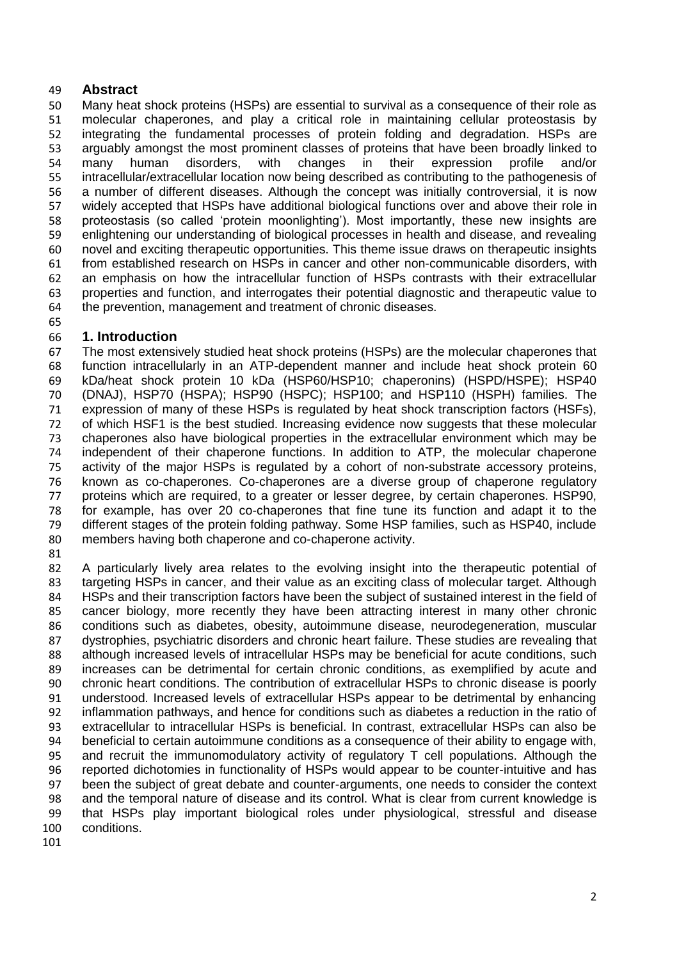#### **Abstract**

 Many heat shock proteins (HSPs) are essential to survival as a consequence of their role as molecular chaperones, and play a critical role in maintaining cellular proteostasis by integrating the fundamental processes of protein folding and degradation. HSPs are arguably amongst the most prominent classes of proteins that have been broadly linked to many human disorders, with changes in their expression profile and/or intracellular/extracellular location now being described as contributing to the pathogenesis of 56 a number of different diseases. Although the concept was initially controversial, it is now<br>57 widely accepted that HSPs have additional biological functions over and above their role in widely accepted that HSPs have additional biological functions over and above their role in proteostasis (so called 'protein moonlighting'). Most importantly, these new insights are enlightening our understanding of biological processes in health and disease, and revealing novel and exciting therapeutic opportunities. This theme issue draws on therapeutic insights from established research on HSPs in cancer and other non-communicable disorders, with an emphasis on how the intracellular function of HSPs contrasts with their extracellular properties and function, and interrogates their potential diagnostic and therapeutic value to the prevention, management and treatment of chronic diseases.

#### **1. Introduction**

 The most extensively studied heat shock proteins (HSPs) are the molecular chaperones that function intracellularly in an ATP-dependent manner and include heat shock protein 60 kDa/heat shock protein 10 kDa (HSP60/HSP10; chaperonins) (HSPD/HSPE); HSP40 (DNAJ), HSP70 (HSPA); HSP90 (HSPC); HSP100; and HSP110 (HSPH) families. The expression of many of these HSPs is regulated by heat shock transcription factors (HSFs), of which HSF1 is the best studied. Increasing evidence now suggests that these molecular chaperones also have biological properties in the extracellular environment which may be independent of their chaperone functions. In addition to ATP, the molecular chaperone 75 activity of the major HSPs is regulated by a cohort of non-substrate accessory proteins,<br>76 known as co-chaperones. Co-chaperones are a diverse group of chaperone regulatory known as co-chaperones. Co-chaperones are a diverse group of chaperone regulatory 77 proteins which are required, to a greater or lesser degree, by certain chaperones. HSP90,<br>78 for example, has over 20 co-chaperones that fine tune its function and adapt it to the for example, has over 20 co-chaperones that fine tune its function and adapt it to the different stages of the protein folding pathway. Some HSP families, such as HSP40, include members having both chaperone and co-chaperone activity.

 A particularly lively area relates to the evolving insight into the therapeutic potential of targeting HSPs in cancer, and their value as an exciting class of molecular target. Although HSPs and their transcription factors have been the subject of sustained interest in the field of cancer biology, more recently they have been attracting interest in many other chronic conditions such as diabetes, obesity, autoimmune disease, neurodegeneration, muscular dystrophies, psychiatric disorders and chronic heart failure. These studies are revealing that 88 although increased levels of intracellular HSPs may be beneficial for acute conditions, such increases can be detrimental for certain chronic conditions, as exemplified by acute and chronic heart conditions. The contribution of extracellular HSPs to chronic disease is poorly understood. Increased levels of extracellular HSPs appear to be detrimental by enhancing inflammation pathways, and hence for conditions such as diabetes a reduction in the ratio of extracellular to intracellular HSPs is beneficial. In contrast, extracellular HSPs can also be beneficial to certain autoimmune conditions as a consequence of their ability to engage with, and recruit the immunomodulatory activity of regulatory T cell populations. Although the reported dichotomies in functionality of HSPs would appear to be counter-intuitive and has been the subject of great debate and counter-arguments, one needs to consider the context and the temporal nature of disease and its control. What is clear from current knowledge is that HSPs play important biological roles under physiological, stressful and disease conditions.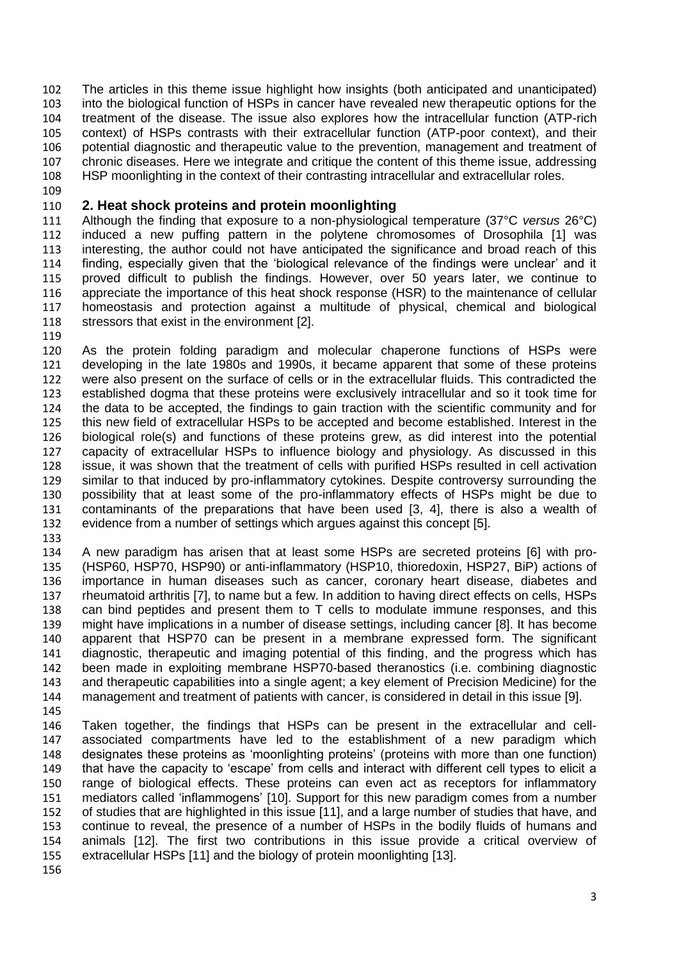The articles in this theme issue highlight how insights (both anticipated and unanticipated) into the biological function of HSPs in cancer have revealed new therapeutic options for the 104 treatment of the disease. The issue also explores how the intracellular function (ATP-rich<br>105 context) of HSPs contrasts with their extracellular function (ATP-poor context), and their context) of HSPs contrasts with their extracellular function (ATP-poor context), and their potential diagnostic and therapeutic value to the prevention, management and treatment of chronic diseases. Here we integrate and critique the content of this theme issue, addressing HSP moonlighting in the context of their contrasting intracellular and extracellular roles.

#### **2. Heat shock proteins and protein moonlighting**

 Although the finding that exposure to a non-physiological temperature (37°C *versus* 26°C) induced a new puffing pattern in the polytene chromosomes of Drosophila [1] was interesting, the author could not have anticipated the significance and broad reach of this finding, especially given that the 'biological relevance of the findings were unclear' and it proved difficult to publish the findings. However, over 50 years later, we continue to appreciate the importance of this heat shock response (HSR) to the maintenance of cellular homeostasis and protection against a multitude of physical, chemical and biological 118 stressors that exist in the environment [2].

 As the protein folding paradigm and molecular chaperone functions of HSPs were developing in the late 1980s and 1990s, it became apparent that some of these proteins were also present on the surface of cells or in the extracellular fluids. This contradicted the 123 established dogma that these proteins were exclusively intracellular and so it took time for<br>124 the data to be accepted, the findings to gain traction with the scientific community and for the data to be accepted, the findings to gain traction with the scientific community and for this new field of extracellular HSPs to be accepted and become established. Interest in the biological role(s) and functions of these proteins grew, as did interest into the potential capacity of extracellular HSPs to influence biology and physiology. As discussed in this issue, it was shown that the treatment of cells with purified HSPs resulted in cell activation 129 similar to that induced by pro-inflammatory cytokines. Despite controversy surrounding the possibility that at least some of the pro-inflammatory effects of HSPs might be due to contaminants of the preparations that have been used [3, 4], there is also a wealth of evidence from a number of settings which argues against this concept [5].

 A new paradigm has arisen that at least some HSPs are secreted proteins [6] with pro- (HSP60, HSP70, HSP90) or anti-inflammatory (HSP10, thioredoxin, HSP27, BiP) actions of importance in human diseases such as cancer, coronary heart disease, diabetes and rheumatoid arthritis [7], to name but a few. In addition to having direct effects on cells, HSPs can bind peptides and present them to T cells to modulate immune responses, and this might have implications in a number of disease settings, including cancer [8]. It has become apparent that HSP70 can be present in a membrane expressed form. The significant diagnostic, therapeutic and imaging potential of this finding, and the progress which has been made in exploiting membrane HSP70-based theranostics (i.e. combining diagnostic and therapeutic capabilities into a single agent; a key element of Precision Medicine) for the management and treatment of patients with cancer, is considered in detail in this issue [9].

 Taken together, the findings that HSPs can be present in the extracellular and cell- associated compartments have led to the establishment of a new paradigm which designates these proteins as 'moonlighting proteins' (proteins with more than one function) that have the capacity to 'escape' from cells and interact with different cell types to elicit a range of biological effects. These proteins can even act as receptors for inflammatory mediators called 'inflammogens' [10]. Support for this new paradigm comes from a number of studies that are highlighted in this issue [11], and a large number of studies that have, and continue to reveal, the presence of a number of HSPs in the bodily fluids of humans and animals [12]. The first two contributions in this issue provide a critical overview of extracellular HSPs [11] and the biology of protein moonlighting [13].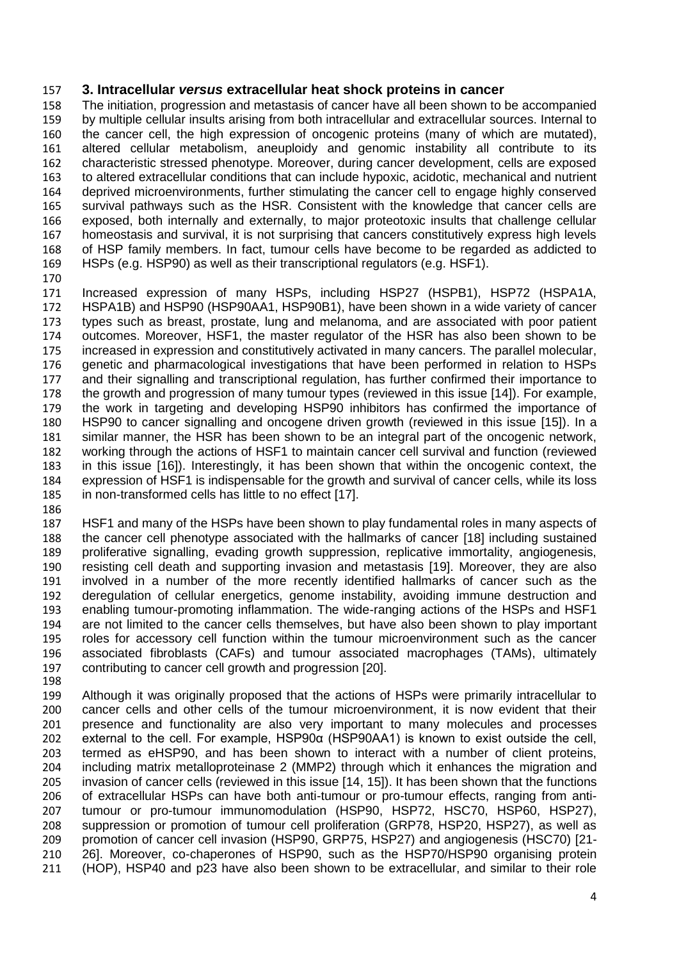#### **3. Intracellular** *versus* **extracellular heat shock proteins in cancer**

 The initiation, progression and metastasis of cancer have all been shown to be accompanied by multiple cellular insults arising from both intracellular and extracellular sources. Internal to the cancer cell, the high expression of oncogenic proteins (many of which are mutated), altered cellular metabolism, aneuploidy and genomic instability all contribute to its characteristic stressed phenotype. Moreover, during cancer development, cells are exposed to altered extracellular conditions that can include hypoxic, acidotic, mechanical and nutrient deprived microenvironments, further stimulating the cancer cell to engage highly conserved survival pathways such as the HSR. Consistent with the knowledge that cancer cells are exposed, both internally and externally, to major proteotoxic insults that challenge cellular homeostasis and survival, it is not surprising that cancers constitutively express high levels of HSP family members. In fact, tumour cells have become to be regarded as addicted to HSPs (e.g. HSP90) as well as their transcriptional regulators (e.g. HSF1).

170<br>171 Increased expression of many HSPs, including HSP27 (HSPB1), HSP72 (HSPA1A, HSPA1B) and HSP90 (HSP90AA1, HSP90B1), have been shown in a wide variety of cancer types such as breast, prostate, lung and melanoma, and are associated with poor patient outcomes. Moreover, HSF1, the master regulator of the HSR has also been shown to be increased in expression and constitutively activated in many cancers. The parallel molecular, genetic and pharmacological investigations that have been performed in relation to HSPs and their signalling and transcriptional regulation, has further confirmed their importance to the growth and progression of many tumour types (reviewed in this issue [14]). For example, the work in targeting and developing HSP90 inhibitors has confirmed the importance of HSP90 to cancer signalling and oncogene driven growth (reviewed in this issue [15]). In a similar manner, the HSR has been shown to be an integral part of the oncogenic network, working through the actions of HSF1 to maintain cancer cell survival and function (reviewed in this issue [16]). Interestingly, it has been shown that within the oncogenic context, the expression of HSF1 is indispensable for the growth and survival of cancer cells, while its loss in non-transformed cells has little to no effect [17].

 HSF1 and many of the HSPs have been shown to play fundamental roles in many aspects of the cancer cell phenotype associated with the hallmarks of cancer [18] including sustained proliferative signalling, evading growth suppression, replicative immortality, angiogenesis, resisting cell death and supporting invasion and metastasis [19]. Moreover, they are also involved in a number of the more recently identified hallmarks of cancer such as the deregulation of cellular energetics, genome instability, avoiding immune destruction and enabling tumour-promoting inflammation. The wide-ranging actions of the HSPs and HSF1 are not limited to the cancer cells themselves, but have also been shown to play important roles for accessory cell function within the tumour microenvironment such as the cancer associated fibroblasts (CAFs) and tumour associated macrophages (TAMs), ultimately contributing to cancer cell growth and progression [20]. 

 Although it was originally proposed that the actions of HSPs were primarily intracellular to cancer cells and other cells of the tumour microenvironment, it is now evident that their presence and functionality are also very important to many molecules and processes external to the cell. For example, HSP90α (HSP90AA1) is known to exist outside the cell, termed as eHSP90, and has been shown to interact with a number of client proteins, including matrix metalloproteinase 2 (MMP2) through which it enhances the migration and invasion of cancer cells (reviewed in this issue [14, 15]). It has been shown that the functions of extracellular HSPs can have both anti-tumour or pro-tumour effects, ranging from anti- tumour or pro-tumour immunomodulation (HSP90, HSP72, HSC70, HSP60, HSP27), suppression or promotion of tumour cell proliferation (GRP78, HSP20, HSP27), as well as promotion of cancer cell invasion (HSP90, GRP75, HSP27) and angiogenesis (HSC70) [21- 26]. Moreover, co-chaperones of HSP90, such as the HSP70/HSP90 organising protein (HOP), HSP40 and p23 have also been shown to be extracellular, and similar to their role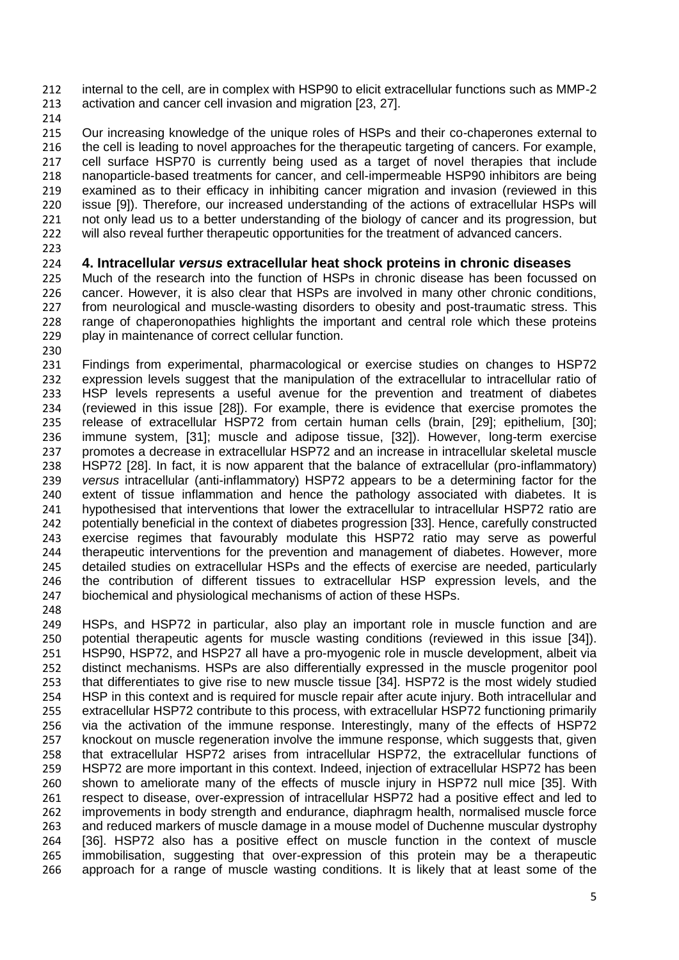internal to the cell, are in complex with HSP90 to elicit extracellular functions such as MMP-2 activation and cancer cell invasion and migration [23, 27].

214<br>215 Our increasing knowledge of the unique roles of HSPs and their co-chaperones external to the cell is leading to novel approaches for the therapeutic targeting of cancers. For example, cell surface HSP70 is currently being used as a target of novel therapies that include nanoparticle-based treatments for cancer, and cell-impermeable HSP90 inhibitors are being examined as to their efficacy in inhibiting cancer migration and invasion (reviewed in this issue [9]). Therefore, our increased understanding of the actions of extracellular HSPs will not only lead us to a better understanding of the biology of cancer and its progression, but 222 will also reveal further therapeutic opportunities for the treatment of advanced cancers.

### **4. Intracellular** *versus* **extracellular heat shock proteins in chronic diseases**

225 Much of the research into the function of HSPs in chronic disease has been focussed on<br>226 cancer. However, it is also clear that HSPs are involved in many other chronic conditions, cancer. However, it is also clear that HSPs are involved in many other chronic conditions, from neurological and muscle-wasting disorders to obesity and post-traumatic stress. This range of chaperonopathies highlights the important and central role which these proteins play in maintenance of correct cellular function.

 Findings from experimental, pharmacological or exercise studies on changes to HSP72 expression levels suggest that the manipulation of the extracellular to intracellular ratio of 233 HSP levels represents a useful avenue for the prevention and treatment of diabetes<br>234 (reviewed in this issue [28]). For example, there is evidence that exercise promotes the (reviewed in this issue [28]). For example, there is evidence that exercise promotes the release of extracellular HSP72 from certain human cells (brain, [29]; epithelium, [30]; immune system, [31]; muscle and adipose tissue, [32]). However, long-term exercise promotes a decrease in extracellular HSP72 and an increase in intracellular skeletal muscle HSP72 [28]. In fact, it is now apparent that the balance of extracellular (pro-inflammatory) *versus* intracellular (anti-inflammatory) HSP72 appears to be a determining factor for the extent of tissue inflammation and hence the pathology associated with diabetes. It is hypothesised that interventions that lower the extracellular to intracellular HSP72 ratio are potentially beneficial in the context of diabetes progression [33]. Hence, carefully constructed exercise regimes that favourably modulate this HSP72 ratio may serve as powerful therapeutic interventions for the prevention and management of diabetes. However, more detailed studies on extracellular HSPs and the effects of exercise are needed, particularly the contribution of different tissues to extracellular HSP expression levels, and the biochemical and physiological mechanisms of action of these HSPs.

 HSPs, and HSP72 in particular, also play an important role in muscle function and are potential therapeutic agents for muscle wasting conditions (reviewed in this issue [34]). HSP90, HSP72, and HSP27 all have a pro-myogenic role in muscle development, albeit via distinct mechanisms. HSPs are also differentially expressed in the muscle progenitor pool that differentiates to give rise to new muscle tissue [34]. HSP72 is the most widely studied HSP in this context and is required for muscle repair after acute injury. Both intracellular and extracellular HSP72 contribute to this process, with extracellular HSP72 functioning primarily via the activation of the immune response. Interestingly, many of the effects of HSP72 knockout on muscle regeneration involve the immune response, which suggests that, given that extracellular HSP72 arises from intracellular HSP72, the extracellular functions of HSP72 are more important in this context. Indeed, injection of extracellular HSP72 has been shown to ameliorate many of the effects of muscle injury in HSP72 null mice [35]. With respect to disease, over-expression of intracellular HSP72 had a positive effect and led to improvements in body strength and endurance, diaphragm health, normalised muscle force and reduced markers of muscle damage in a mouse model of Duchenne muscular dystrophy [36]. HSP72 also has a positive effect on muscle function in the context of muscle immobilisation, suggesting that over-expression of this protein may be a therapeutic approach for a range of muscle wasting conditions. It is likely that at least some of the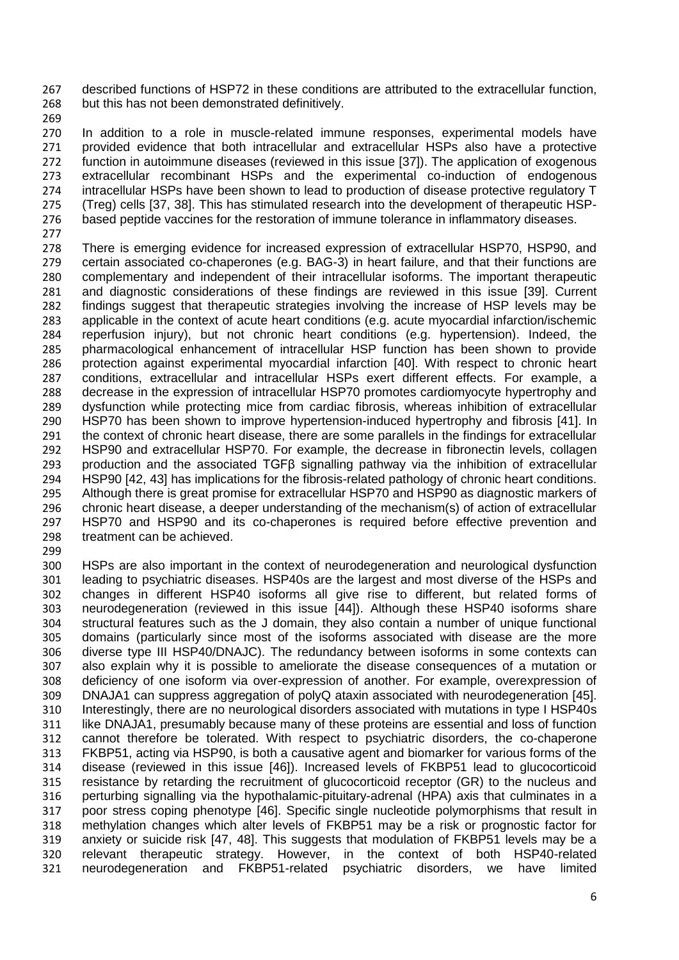described functions of HSP72 in these conditions are attributed to the extracellular function, but this has not been demonstrated definitively.

269<br>270

In addition to a role in muscle-related immune responses, experimental models have provided evidence that both intracellular and extracellular HSPs also have a protective function in autoimmune diseases (reviewed in this issue [37]). The application of exogenous extracellular recombinant HSPs and the experimental co-induction of endogenous intracellular HSPs have been shown to lead to production of disease protective regulatory T (Treg) cells [37, 38]. This has stimulated research into the development of therapeutic HSP-based peptide vaccines for the restoration of immune tolerance in inflammatory diseases.

277<br>278 There is emerging evidence for increased expression of extracellular HSP70, HSP90, and certain associated co-chaperones (e.g. BAG-3) in heart failure, and that their functions are complementary and independent of their intracellular isoforms. The important therapeutic and diagnostic considerations of these findings are reviewed in this issue [39]. Current findings suggest that therapeutic strategies involving the increase of HSP levels may be applicable in the context of acute heart conditions (e.g. acute myocardial infarction/ischemic reperfusion injury), but not chronic heart conditions (e.g. hypertension). Indeed, the pharmacological enhancement of intracellular HSP function has been shown to provide protection against experimental myocardial infarction [40]. With respect to chronic heart conditions, extracellular and intracellular HSPs exert different effects. For example, a decrease in the expression of intracellular HSP70 promotes cardiomyocyte hypertrophy and dysfunction while protecting mice from cardiac fibrosis, whereas inhibition of extracellular HSP70 has been shown to improve hypertension-induced hypertrophy and fibrosis [41]. In the context of chronic heart disease, there are some parallels in the findings for extracellular HSP90 and extracellular HSP70. For example, the decrease in fibronectin levels, collagen production and the associated TGFβ signalling pathway via the inhibition of extracellular 294 HSP90 [42, 43] has implications for the fibrosis-related pathology of chronic heart conditions.<br>295 Although there is great promise for extracellular HSP70 and HSP90 as diagnostic markers of Although there is great promise for extracellular HSP70 and HSP90 as diagnostic markers of chronic heart disease, a deeper understanding of the mechanism(s) of action of extracellular HSP70 and HSP90 and its co-chaperones is required before effective prevention and treatment can be achieved.

300 HSPs are also important in the context of neurodegeneration and neurological dysfunction<br>301 leading to psychiatric diseases. HSP40s are the largest and most diverse of the HSPs and 301 leading to psychiatric diseases. HSP40s are the largest and most diverse of the HSPs and<br>302 changes in different HSP40 isoforms all give rise to different, but related forms of changes in different HSP40 isoforms all give rise to different, but related forms of neurodegeneration (reviewed in this issue [44]). Although these HSP40 isoforms share structural features such as the J domain, they also contain a number of unique functional domains (particularly since most of the isoforms associated with disease are the more diverse type III HSP40/DNAJC). The redundancy between isoforms in some contexts can also explain why it is possible to ameliorate the disease consequences of a mutation or deficiency of one isoform via over-expression of another. For example, overexpression of DNAJA1 can suppress aggregation of polyQ ataxin associated with neurodegeneration [45]. Interestingly, there are no neurological disorders associated with mutations in type I HSP40s 311 like DNAJA1, presumably because many of these proteins are essential and loss of function cannot therefore be tolerated. With respect to psychiatric disorders, the co-chaperone FKBP51, acting via HSP90, is both a causative agent and biomarker for various forms of the disease (reviewed in this issue [46]). Increased levels of FKBP51 lead to glucocorticoid resistance by retarding the recruitment of glucocorticoid receptor (GR) to the nucleus and perturbing signalling via the hypothalamic-pituitary-adrenal (HPA) axis that culminates in a poor stress coping phenotype [46]. Specific single nucleotide polymorphisms that result in methylation changes which alter levels of FKBP51 may be a risk or prognostic factor for anxiety or suicide risk [47, 48]. This suggests that modulation of FKBP51 levels may be a relevant therapeutic strategy. However, in the context of both HSP40-related neurodegeneration and FKBP51-related psychiatric disorders, we have limited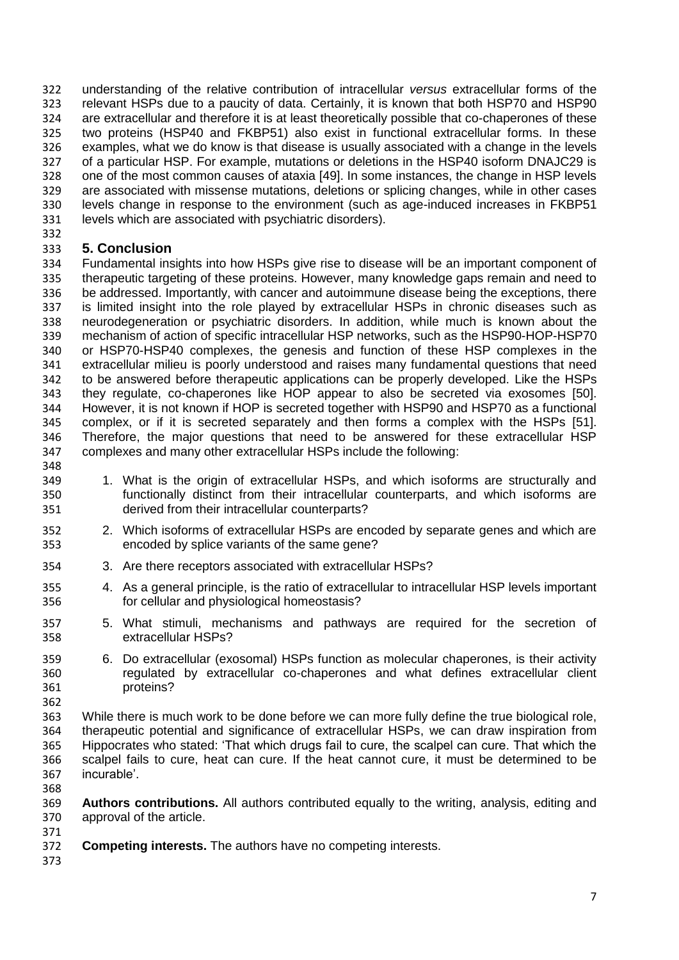understanding of the relative contribution of intracellular *versus* extracellular forms of the relevant HSPs due to a paucity of data. Certainly, it is known that both HSP70 and HSP90 324 are extracellular and therefore it is at least theoretically possible that co-chaperones of these<br>325 two proteins (HSP40 and FKBP51) also exist in functional extracellular forms. In these two proteins (HSP40 and FKBP51) also exist in functional extracellular forms. In these examples, what we do know is that disease is usually associated with a change in the levels of a particular HSP. For example, mutations or deletions in the HSP40 isoform DNAJC29 is one of the most common causes of ataxia [49]. In some instances, the change in HSP levels are associated with missense mutations, deletions or splicing changes, while in other cases levels change in response to the environment (such as age-induced increases in FKBP51 levels which are associated with psychiatric disorders).

### **5. Conclusion**

 Fundamental insights into how HSPs give rise to disease will be an important component of 335 therapeutic targeting of these proteins. However, many knowledge gaps remain and need to<br>336 be addressed. Importantly, with cancer and autoimmune disease being the exceptions, there be addressed. Importantly, with cancer and autoimmune disease being the exceptions, there is limited insight into the role played by extracellular HSPs in chronic diseases such as neurodegeneration or psychiatric disorders. In addition, while much is known about the mechanism of action of specific intracellular HSP networks, such as the HSP90-HOP-HSP70 or HSP70-HSP40 complexes, the genesis and function of these HSP complexes in the extracellular milieu is poorly understood and raises many fundamental questions that need to be answered before therapeutic applications can be properly developed. Like the HSPs 343 they regulate, co-chaperones like HOP appear to also be secreted via exosomes [50].<br>344 However it is not known if HOP is secreted together with HSP90 and HSP70 as a functional However, it is not known if HOP is secreted together with HSP90 and HSP70 as a functional complex, or if it is secreted separately and then forms a complex with the HSPs [51]. Therefore, the major questions that need to be answered for these extracellular HSP complexes and many other extracellular HSPs include the following:

- 
- 1. What is the origin of extracellular HSPs, and which isoforms are structurally and functionally distinct from their intracellular counterparts, and which isoforms are derived from their intracellular counterparts?
- 2. Which isoforms of extracellular HSPs are encoded by separate genes and which are encoded by splice variants of the same gene?
- 3. Are there receptors associated with extracellular HSPs?
- 4. As a general principle, is the ratio of extracellular to intracellular HSP levels important for cellular and physiological homeostasis?
- 5. What stimuli, mechanisms and pathways are required for the secretion of extracellular HSPs?
- 6. Do extracellular (exosomal) HSPs function as molecular chaperones, is their activity regulated by extracellular co-chaperones and what defines extracellular client proteins?
- 

 While there is much work to be done before we can more fully define the true biological role, therapeutic potential and significance of extracellular HSPs, we can draw inspiration from Hippocrates who stated: 'That which drugs fail to cure, the scalpel can cure. That which the scalpel fails to cure, heat can cure. If the heat cannot cure, it must be determined to be incurable'. 

 **Authors contributions.** All authors contributed equally to the writing, analysis, editing and approval of the article.

- **Competing interests.** The authors have no competing interests.
-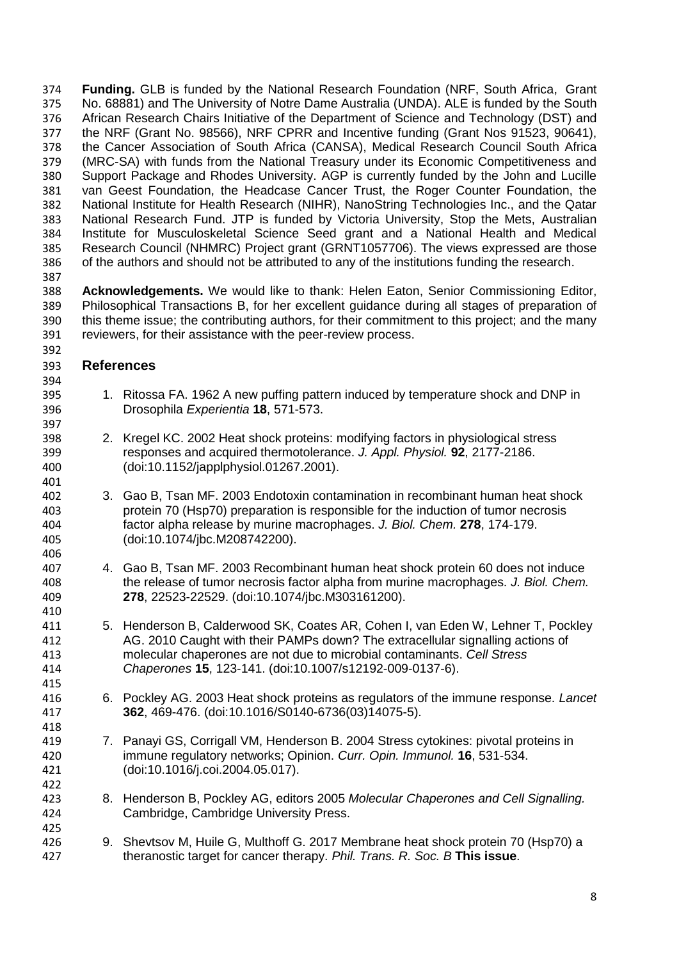**Funding.** GLB is funded by the National Research Foundation (NRF, South Africa, Grant No. 68881) and The University of Notre Dame Australia (UNDA). ALE is funded by the South 376 African Research Chairs Initiative of the Department of Science and Technology (DST) and<br>377 the NRF (Grant No. 98566), NRF CPRR and Incentive funding (Grant Nos 91523, 90641), the NRF (Grant No. 98566), NRF CPRR and Incentive funding (Grant Nos 91523, 90641), the Cancer Association of South Africa (CANSA), Medical Research Council South Africa (MRC-SA) with funds from the National Treasury under its Economic Competitiveness and Support Package and Rhodes University. AGP is currently funded by the John and Lucille van Geest Foundation, the Headcase Cancer Trust, the Roger Counter Foundation, the National Institute for Health Research (NIHR), NanoString Technologies Inc., and the Qatar National Research Fund. JTP is funded by Victoria University, Stop the Mets, Australian Institute for Musculoskeletal Science Seed grant and a National Health and Medical Research Council (NHMRC) Project grant (GRNT1057706). The views expressed are those of the authors and should not be attributed to any of the institutions funding the research. 

 **Acknowledgements.** We would like to thank: Helen Eaton, Senior Commissioning Editor, Philosophical Transactions B, for her excellent guidance during all stages of preparation of this theme issue; the contributing authors, for their commitment to this project; and the many reviewers, for their assistance with the peer-review process.

#### **References**

- 1. Ritossa FA. 1962 A new puffing pattern induced by temperature shock and DNP in Drosophila *Experientia* **18**, 571-573.
- 2. Kregel KC. 2002 Heat shock proteins: modifying factors in physiological stress responses and acquired thermotolerance. *J. Appl. Physiol.* **92**, 2177-2186. (doi:10.1152/japplphysiol.01267.2001).
- 3. Gao B, Tsan MF. 2003 Endotoxin contamination in recombinant human heat shock protein 70 (Hsp70) preparation is responsible for the induction of tumor necrosis factor alpha release by murine macrophages. *J. Biol. Chem.* **278**, 174-179. (doi:10.1074/jbc.M208742200).
- 4. Gao B, Tsan MF. 2003 Recombinant human heat shock protein 60 does not induce the release of tumor necrosis factor alpha from murine macrophages. *J. Biol. Chem.* **278**, 22523-22529. (doi:10.1074/jbc.M303161200).
- 5. Henderson B, Calderwood SK, Coates AR, Cohen I, van Eden W, Lehner T, Pockley AG. 2010 Caught with their PAMPs down? The extracellular signalling actions of molecular chaperones are not due to microbial contaminants. *Cell Stress Chaperones* **15**, 123-141. (doi:10.1007/s12192-009-0137-6).
- 6. Pockley AG. 2003 Heat shock proteins as regulators of the immune response. *Lancet* **362**, 469-476. (doi:10.1016/S0140-6736(03)14075-5).
- 7. Panayi GS, Corrigall VM, Henderson B. 2004 Stress cytokines: pivotal proteins in immune regulatory networks; Opinion. *Curr. Opin. Immunol.* **16**, 531-534. (doi:10.1016/j.coi.2004.05.017).
- 8. Henderson B, Pockley AG, editors 2005 *Molecular Chaperones and Cell Signalling.*  Cambridge, Cambridge University Press.
- 9. Shevtsov M, Huile G, Multhoff G. 2017 Membrane heat shock protein 70 (Hsp70) a theranostic target for cancer therapy. *Phil. Trans. R. Soc. B* **This issue**.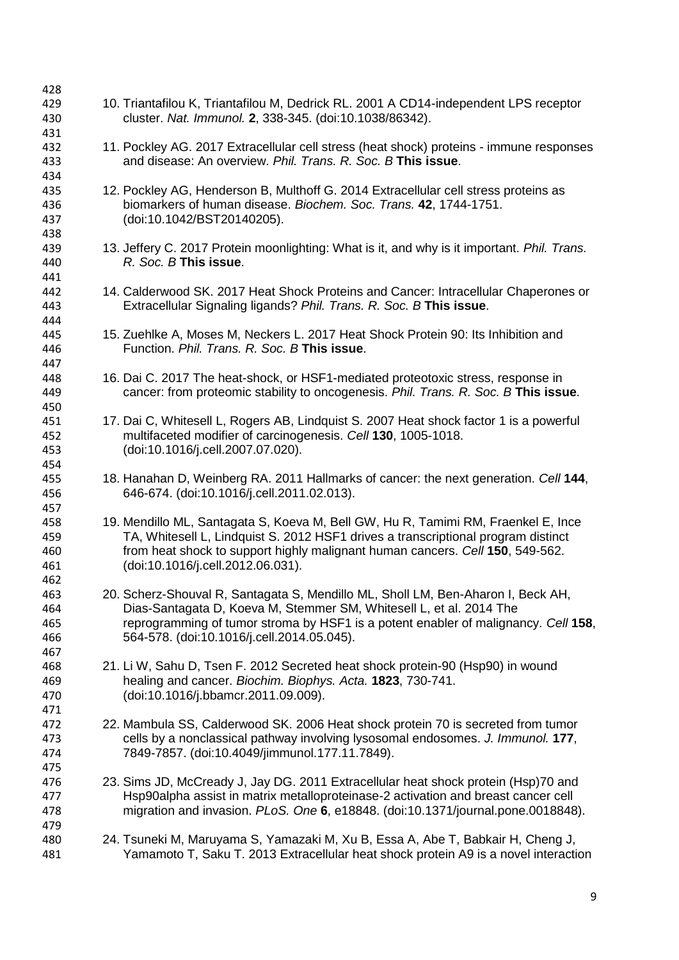| 428<br>429                      | 10. Triantafilou K, Triantafilou M, Dedrick RL. 2001 A CD14-independent LPS receptor                                                                                                                                                                                                         |
|---------------------------------|----------------------------------------------------------------------------------------------------------------------------------------------------------------------------------------------------------------------------------------------------------------------------------------------|
| 430<br>431                      | cluster. Nat. Immunol. 2, 338-345. (doi:10.1038/86342).                                                                                                                                                                                                                                      |
| 432<br>433<br>434               | 11. Pockley AG. 2017 Extracellular cell stress (heat shock) proteins - immune responses<br>and disease: An overview. Phil. Trans. R. Soc. B This issue.                                                                                                                                      |
| 435<br>436<br>437<br>438        | 12. Pockley AG, Henderson B, Multhoff G. 2014 Extracellular cell stress proteins as<br>biomarkers of human disease. Biochem. Soc. Trans. 42, 1744-1751.<br>(doi:10.1042/BST20140205).                                                                                                        |
| 439<br>440<br>441               | 13. Jeffery C. 2017 Protein moonlighting: What is it, and why is it important. Phil. Trans.<br>R. Soc. B This issue.                                                                                                                                                                         |
| 442<br>443<br>444               | 14. Calderwood SK. 2017 Heat Shock Proteins and Cancer: Intracellular Chaperones or<br>Extracellular Signaling ligands? Phil. Trans. R. Soc. B This issue.                                                                                                                                   |
| 445<br>446<br>447               | 15. Zuehlke A, Moses M, Neckers L. 2017 Heat Shock Protein 90: Its Inhibition and<br>Function. Phil. Trans. R. Soc. B This issue.                                                                                                                                                            |
| 448<br>449<br>450               | 16. Dai C. 2017 The heat-shock, or HSF1-mediated proteotoxic stress, response in<br>cancer: from proteomic stability to oncogenesis. Phil. Trans. R. Soc. B This issue.                                                                                                                      |
| 451<br>452<br>453<br>454        | 17. Dai C, Whitesell L, Rogers AB, Lindquist S. 2007 Heat shock factor 1 is a powerful<br>multifaceted modifier of carcinogenesis. Cell 130, 1005-1018.<br>(doi:10.1016/j.cell.2007.07.020).                                                                                                 |
| 455<br>456<br>457               | 18. Hanahan D, Weinberg RA. 2011 Hallmarks of cancer: the next generation. Cell 144,<br>646-674. (doi:10.1016/j.cell.2011.02.013).                                                                                                                                                           |
| 458<br>459<br>460<br>461<br>462 | 19. Mendillo ML, Santagata S, Koeva M, Bell GW, Hu R, Tamimi RM, Fraenkel E, Ince<br>TA, Whitesell L, Lindquist S. 2012 HSF1 drives a transcriptional program distinct<br>from heat shock to support highly malignant human cancers. Cell 150, 549-562.<br>(doi:10.1016/j.cell.2012.06.031). |
| 463<br>464<br>465<br>466<br>467 | 20. Scherz-Shouval R, Santagata S, Mendillo ML, Sholl LM, Ben-Aharon I, Beck AH,<br>Dias-Santagata D, Koeva M, Stemmer SM, Whitesell L, et al. 2014 The<br>reprogramming of tumor stroma by HSF1 is a potent enabler of malignancy. Cell 158,<br>564-578. (doi:10.1016/j.cell.2014.05.045).  |
| 468<br>469<br>470<br>471        | 21. Li W, Sahu D, Tsen F. 2012 Secreted heat shock protein-90 (Hsp90) in wound<br>healing and cancer. Biochim. Biophys. Acta. 1823, 730-741.<br>(doi:10.1016/j.bbamcr.2011.09.009).                                                                                                          |
| 472<br>473<br>474<br>475        | 22. Mambula SS, Calderwood SK. 2006 Heat shock protein 70 is secreted from tumor<br>cells by a nonclassical pathway involving lysosomal endosomes. J. Immunol. 177,<br>7849-7857. (doi:10.4049/jimmunol.177.11.7849).                                                                        |
| 476<br>477<br>478               | 23. Sims JD, McCready J, Jay DG. 2011 Extracellular heat shock protein (Hsp)70 and<br>Hsp90alpha assist in matrix metalloproteinase-2 activation and breast cancer cell<br>migration and invasion. PLoS. One 6, e18848. (doi:10.1371/journal.pone.0018848).                                  |
| 479<br>480<br>481               | 24. Tsuneki M, Maruyama S, Yamazaki M, Xu B, Essa A, Abe T, Babkair H, Cheng J,<br>Yamamoto T, Saku T. 2013 Extracellular heat shock protein A9 is a novel interaction                                                                                                                       |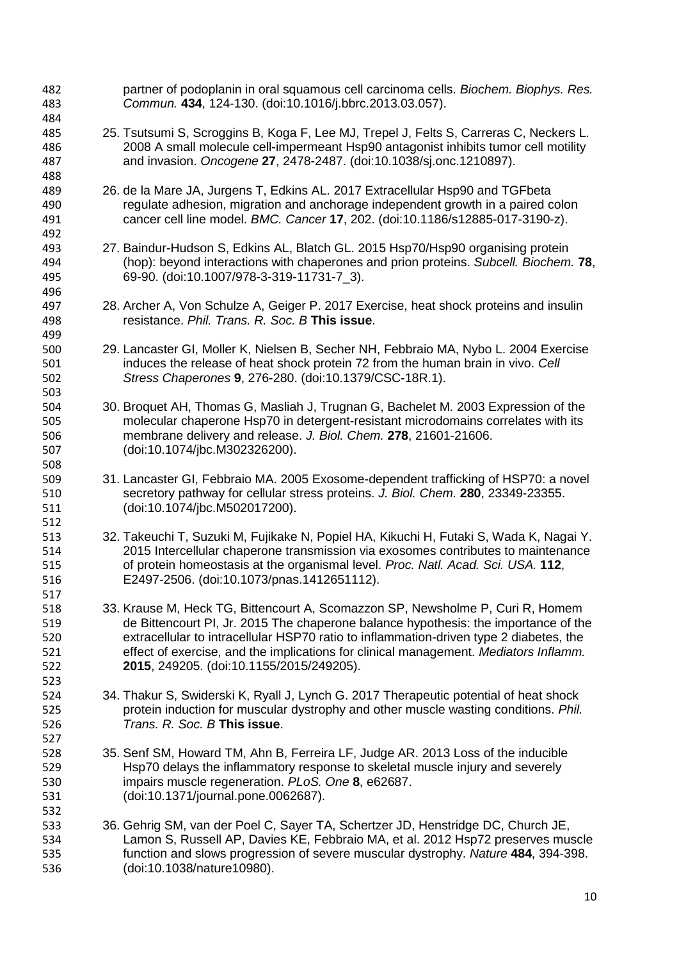partner of podoplanin in oral squamous cell carcinoma cells. *Biochem. Biophys. Res. Commun.* **434**, 124-130. (doi:10.1016/j.bbrc.2013.03.057). 25. Tsutsumi S, Scroggins B, Koga F, Lee MJ, Trepel J, Felts S, Carreras C, Neckers L. 2008 A small molecule cell-impermeant Hsp90 antagonist inhibits tumor cell motility and invasion. *Oncogene* **27**, 2478-2487. (doi:10.1038/sj.onc.1210897). 26. de la Mare JA, Jurgens T, Edkins AL. 2017 Extracellular Hsp90 and TGFbeta regulate adhesion, migration and anchorage independent growth in a paired colon cancer cell line model. *BMC. Cancer* **17**, 202. (doi:10.1186/s12885-017-3190-z). 27. Baindur-Hudson S, Edkins AL, Blatch GL. 2015 Hsp70/Hsp90 organising protein (hop): beyond interactions with chaperones and prion proteins. *Subcell. Biochem.* **78**, 69-90. (doi:10.1007/978-3-319-11731-7\_3). 28. Archer A, Von Schulze A, Geiger P. 2017 Exercise, heat shock proteins and insulin resistance. *Phil. Trans. R. Soc. B* **This issue**. 29. Lancaster GI, Moller K, Nielsen B, Secher NH, Febbraio MA, Nybo L. 2004 Exercise induces the release of heat shock protein 72 from the human brain in vivo. *Cell Stress Chaperones* **9**, 276-280. (doi:10.1379/CSC-18R.1). 30. Broquet AH, Thomas G, Masliah J, Trugnan G, Bachelet M. 2003 Expression of the molecular chaperone Hsp70 in detergent-resistant microdomains correlates with its membrane delivery and release. *J. Biol. Chem.* **278**, 21601-21606. (doi:10.1074/jbc.M302326200). 31. Lancaster GI, Febbraio MA. 2005 Exosome-dependent trafficking of HSP70: a novel secretory pathway for cellular stress proteins. *J. Biol. Chem.* **280**, 23349-23355. (doi:10.1074/jbc.M502017200). 32. Takeuchi T, Suzuki M, Fujikake N, Popiel HA, Kikuchi H, Futaki S, Wada K, Nagai Y. 2015 Intercellular chaperone transmission via exosomes contributes to maintenance of protein homeostasis at the organismal level. *Proc. Natl. Acad. Sci. USA.* **112**, E2497-2506. (doi:10.1073/pnas.1412651112). 33. Krause M, Heck TG, Bittencourt A, Scomazzon SP, Newsholme P, Curi R, Homem de Bittencourt PI, Jr. 2015 The chaperone balance hypothesis: the importance of the extracellular to intracellular HSP70 ratio to inflammation-driven type 2 diabetes, the effect of exercise, and the implications for clinical management. *Mediators Inflamm.* **2015**, 249205. (doi:10.1155/2015/249205). 34. Thakur S, Swiderski K, Ryall J, Lynch G. 2017 Therapeutic potential of heat shock protein induction for muscular dystrophy and other muscle wasting conditions. *Phil. Trans. R. Soc. B* **This issue**. 35. Senf SM, Howard TM, Ahn B, Ferreira LF, Judge AR. 2013 Loss of the inducible Hsp70 delays the inflammatory response to skeletal muscle injury and severely impairs muscle regeneration. *PLoS. One* **8**, e62687. (doi:10.1371/journal.pone.0062687). 36. Gehrig SM, van der Poel C, Sayer TA, Schertzer JD, Henstridge DC, Church JE, Lamon S, Russell AP, Davies KE, Febbraio MA, et al. 2012 Hsp72 preserves muscle function and slows progression of severe muscular dystrophy. *Nature* **484**, 394-398. (doi:10.1038/nature10980).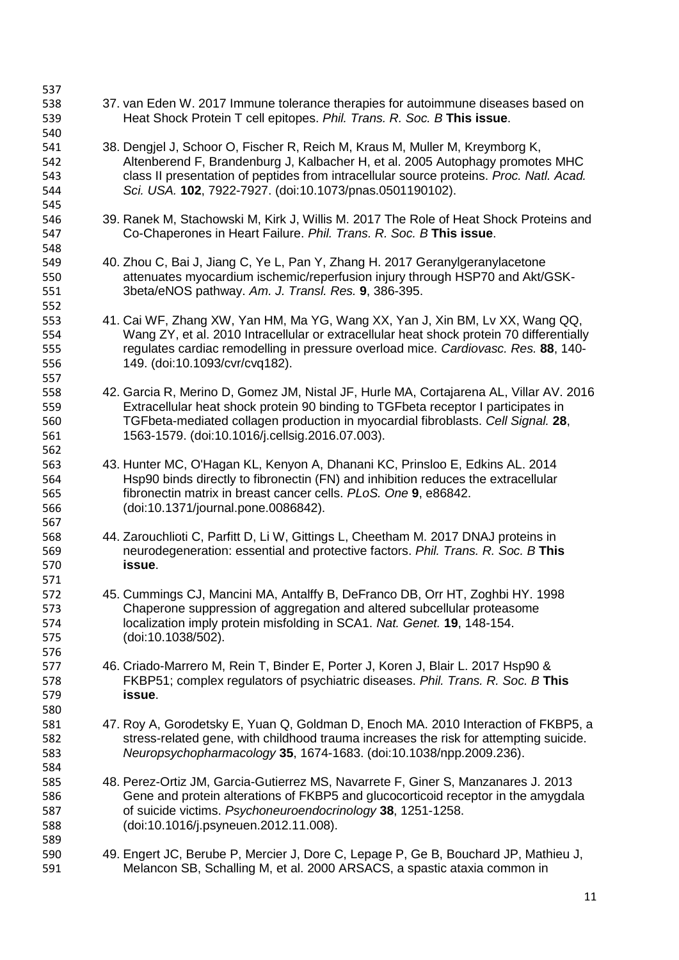Heat Shock Protein T cell epitopes. *Phil. Trans. R. Soc. B* **This issue**. 38. Dengjel J, Schoor O, Fischer R, Reich M, Kraus M, Muller M, Kreymborg K, Altenberend F, Brandenburg J, Kalbacher H, et al. 2005 Autophagy promotes MHC class II presentation of peptides from intracellular source proteins. *Proc. Natl. Acad. Sci. USA.* **102**, 7922-7927. (doi:10.1073/pnas.0501190102). 39. Ranek M, Stachowski M, Kirk J, Willis M. 2017 The Role of Heat Shock Proteins and Co-Chaperones in Heart Failure. *Phil. Trans. R. Soc. B* **This issue**. 40. Zhou C, Bai J, Jiang C, Ye L, Pan Y, Zhang H. 2017 Geranylgeranylacetone attenuates myocardium ischemic/reperfusion injury through HSP70 and Akt/GSK- 3beta/eNOS pathway. *Am. J. Transl. Res.* **9**, 386-395. 41. Cai WF, Zhang XW, Yan HM, Ma YG, Wang XX, Yan J, Xin BM, Lv XX, Wang QQ, Wang ZY, et al. 2010 Intracellular or extracellular heat shock protein 70 differentially regulates cardiac remodelling in pressure overload mice. *Cardiovasc. Res.* **88**, 140- 149. (doi:10.1093/cvr/cvq182). 42. Garcia R, Merino D, Gomez JM, Nistal JF, Hurle MA, Cortajarena AL, Villar AV. 2016 Extracellular heat shock protein 90 binding to TGFbeta receptor I participates in TGFbeta-mediated collagen production in myocardial fibroblasts. *Cell Signal.* **28**, 1563-1579. (doi:10.1016/j.cellsig.2016.07.003). 43. Hunter MC, O'Hagan KL, Kenyon A, Dhanani KC, Prinsloo E, Edkins AL. 2014 Hsp90 binds directly to fibronectin (FN) and inhibition reduces the extracellular fibronectin matrix in breast cancer cells. *PLoS. One* **9**, e86842. (doi:10.1371/journal.pone.0086842). 44. Zarouchlioti C, Parfitt D, Li W, Gittings L, Cheetham M. 2017 DNAJ proteins in neurodegeneration: essential and protective factors. *Phil. Trans. R. Soc. B* **This issue**. 45. Cummings CJ, Mancini MA, Antalffy B, DeFranco DB, Orr HT, Zoghbi HY. 1998 Chaperone suppression of aggregation and altered subcellular proteasome localization imply protein misfolding in SCA1. *Nat. Genet.* **19**, 148-154. (doi:10.1038/502). 46. Criado-Marrero M, Rein T, Binder E, Porter J, Koren J, Blair L. 2017 Hsp90 & FKBP51; complex regulators of psychiatric diseases. *Phil. Trans. R. Soc. B* **This issue**. 47. Roy A, Gorodetsky E, Yuan Q, Goldman D, Enoch MA. 2010 Interaction of FKBP5, a stress-related gene, with childhood trauma increases the risk for attempting suicide. *Neuropsychopharmacology* **35**, 1674-1683. (doi:10.1038/npp.2009.236). 48. Perez-Ortiz JM, Garcia-Gutierrez MS, Navarrete F, Giner S, Manzanares J. 2013 Gene and protein alterations of FKBP5 and glucocorticoid receptor in the amygdala of suicide victims. *Psychoneuroendocrinology* **38**, 1251-1258. (doi:10.1016/j.psyneuen.2012.11.008). 49. Engert JC, Berube P, Mercier J, Dore C, Lepage P, Ge B, Bouchard JP, Mathieu J, Melancon SB, Schalling M, et al. 2000 ARSACS, a spastic ataxia common in

37. van Eden W. 2017 Immune tolerance therapies for autoimmune diseases based on